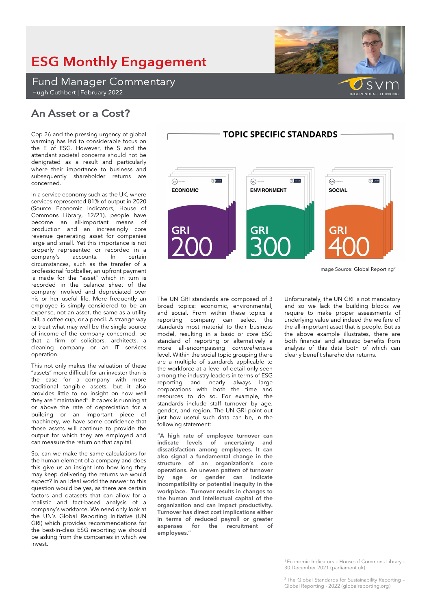### <sup>1</sup>Economic Indicators – House of Commons Library - 30 December 2021 (parliament.uk)

<sup>2</sup>The Global Standards for Sustainability Reporting – Global Reporting - 2022 (globalreporting.org)

# **ESG Monthly Engagement**

**Fund Manager Commentary** Hugh Cuthbert | February 2022

## An Asset or a Cost?

Cop 26 and the pressing urgency of global warming has led to considerable focus on the E of ESG. However, the S and the attendant societal concerns should not be denigrated as a result and particularly where their importance to business and subsequently shareholder returns are concerned.

In a service economy such as the UK, where services represented 81% of output in 2020 (Source Economic Indicators, House of Commons Library, 12/21), people have become an all-important means of production and an increasingly core revenue generating asset for companies large and small. Yet this importance is not properly represented or recorded in a<br>company's accounts. In certain company's accounts. circumstances, such as the transfer of a professional footballer, an upfront payment is made for the "asset" which in turn is recorded in the balance sheet of the company involved and depreciated over his or her useful life. More frequently an employee is simply considered to be an expense, not an asset, the same as a utility bill, a coffee cup, or a pencil. A strange way to treat what may well be the single source of income of the company concerned, be that a firm of solicitors, architects, a cleaning company or an IT services operation.

This not only makes the valuation of these "assets" more difficult for an investor than is the case for a company with more traditional tangible assets, but it also provides little to no insight on how well they are "maintained". If capex is running at or above the rate of depreciation for a building or an important piece of machinery, we have some confidence that those assets will continue to provide the output for which they are employed and can measure the return on that capital.

So, can we make the same calculations for the human element of a company and does this give us an insight into how long they may keep delivering the returns we would expect? In an ideal world the answer to this question would be yes, as there are certain factors and datasets that can allow for a realistic and fact-based analysis of a company's workforce. We need only look at the UN's Global Reporting Initiative (UN GRI) which provides recommendations for the best-in-class ESG reporting we should be asking from the companies in which we invest

The UN GRI standards are composed of 3 broad topics: economic, environmental, and social. From within these topics a reporting company can select the standards most material to their business model, resulting in a basic or *core* ESG standard of reporting or alternatively a more all-encompassing *comprehensive* level. Within the social topic grouping there are a multiple of standards applicable to the workforce at a level of detail only seen among the industry leaders in terms of ESG reporting and nearly always large corporations with both the time and resources to do so. For example, the standards include staff turnover by age, gender, and region. The UN GRI point out just how useful such data can be, in the following statement:

**"A high rate of employee turnover can indicate levels of uncertainty and dissatisfaction among employees. It can also signal a fundamental change in the structure of an organization's core operations. An uneven pattern of turnover by age or gender can indicate incompatibility or potential inequity in the workplace. Turnover results in changes to the human and intellectual capital of the organization and can impact productivity. Turnover has direct cost implications either in terms of reduced payroll or greater expenses for the recruitment of employees."**

Unfortunately, the UN GRI is not mandatory and so we lack the building blocks we require to make proper assessments of underlying value and indeed the welfare of the all-important asset that is people. But as the above example illustrates, there are both financial and altruistic benefits from analysis of this data both of which can clearly benefit shareholder returns.

需) GSSB  $\binom{G}{R}$ **COL** GSSB  $\widehat{G}$  $\widehat{G}$ **ECONOMIC ENVIRONMENT** SOCIAL **GRI GRI GR** 

**TOPIC SPECIFIC STANDARDS -**

Image Source: Global Reporting<sup>2</sup>